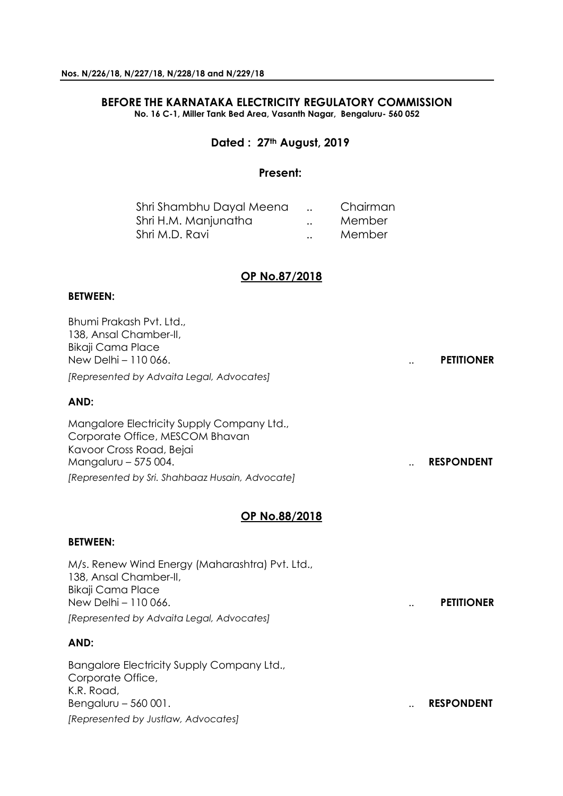#### **BEFORE THE KARNATAKA ELECTRICITY REGULATORY COMMISSION No. 16 C-1, Miller Tank Bed Area, Vasanth Nagar, Bengaluru- 560 052**

### **Dated : 27th August, 2019**

### **Present:**

| Shri Shambhu Dayal Meena |                      | Chairman |
|--------------------------|----------------------|----------|
| Shri H.M. Manjunatha     | $\ddot{\phantom{a}}$ | Member   |
| Shri M.D. Ravi           | $\ddot{\phantom{a}}$ | Member   |

## **OP No.87/2018**

### **BETWEEN:**

Bhumi Prakash Pvt. Ltd., 138, Ansal Chamber-II, Bikaji Cama Place New Delhi – 110 066. .. **PETITIONER**

*[Represented by Advaita Legal, Advocates]* 

#### **AND:**

Mangalore Electricity Supply Company Ltd., Corporate Office, MESCOM Bhavan Kavoor Cross Road, Bejai Mangaluru – 575 004. **And** *RESPONDENT* **CONVERTING A CONVERTING A CONVERTING A CONVERTING A CONVERTING A CONVERTING A CONVERTING A CONVERTING A CONVERTING A CONVERTING A CONVERTING A CONVERTING A CONVERTING A CONVERTING A** *[Represented by Sri. Shahbaaz Husain, Advocate]*

### **OP No.88/2018**

#### **BETWEEN:**

M/s. Renew Wind Energy (Maharashtra) Pvt. Ltd., 138, Ansal Chamber-II, Bikaji Cama Place New Delhi – 110 066. .. **PETITIONER** *[Represented by Advaita Legal, Advocates]*

#### **AND:**

Bangalore Electricity Supply Company Ltd., Corporate Office, K.R. Road, Bengaluru – 560 001. **RESPONDENT RESPONDENT** *[Represented by Justlaw, Advocates]*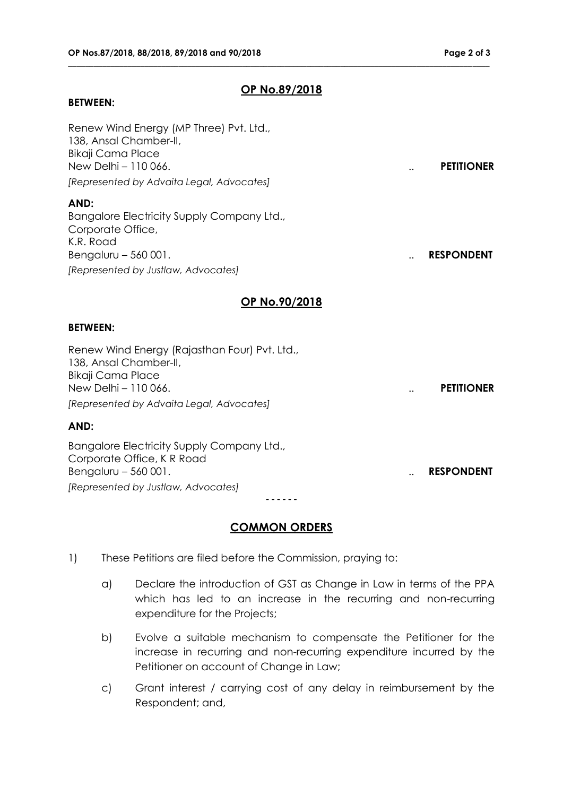# **OP No.89/2018**

**\_\_\_\_\_\_\_\_\_\_\_\_\_\_\_\_\_\_\_\_\_\_\_\_\_\_\_\_\_\_\_\_\_\_\_\_\_\_\_\_\_\_\_\_\_\_\_\_\_\_\_\_\_\_\_\_\_\_\_\_\_\_\_\_\_\_\_\_\_\_\_\_\_\_\_\_\_\_\_\_\_\_\_\_\_\_\_\_\_\_\_\_\_\_\_\_\_\_\_**

### **BETWEEN:**

| Renew Wind Energy (MP Three) Pvt. Ltd.,<br>138, Ansal Chamber-II,<br><b>Bikaji Cama Place</b><br>New Delhi - 110 066.<br>[Represented by Advaita Legal, Advocates] | $\ddot{\phantom{0}}$ | <b>PETITIONER</b> |
|--------------------------------------------------------------------------------------------------------------------------------------------------------------------|----------------------|-------------------|
| AND:<br>Bangalore Electricity Supply Company Ltd.,<br>Corporate Office,<br>K.R. Road<br>Bengaluru $-560001$ .<br>[Represented by Justlaw, Advocates]               | $\ddot{\phantom{a}}$ | <b>RESPONDENT</b> |
| <u>OP No.90/2018</u>                                                                                                                                               |                      |                   |
| <b>BETWEEN:</b>                                                                                                                                                    |                      |                   |
| Renew Wind Energy (Rajasthan Four) Pvt. Ltd.,<br>138, Ansal Chamber-II,<br>Bikaji Cama Place<br>New Delhi - 110 066.<br>[Represented by Advaita Legal, Advocates]  |                      | <b>PETITIONER</b> |
| AND:                                                                                                                                                               |                      |                   |
| Bangalore Electricity Supply Company Ltd.,<br>Corporate Office, K R Road<br>Bengaluru $-560001$ .                                                                  | $\cdots$             | <b>RESPONDENT</b> |

## **COMMON ORDERS**

**- - - - - -**

1) These Petitions are filed before the Commission, praying to:

*[Represented by Justlaw, Advocates]*

- a) Declare the introduction of GST as Change in Law in terms of the PPA which has led to an increase in the recurring and non-recurring expenditure for the Projects;
- b) Evolve a suitable mechanism to compensate the Petitioner for the increase in recurring and non-recurring expenditure incurred by the Petitioner on account of Change in Law;
- c) Grant interest / carrying cost of any delay in reimbursement by the Respondent; and,